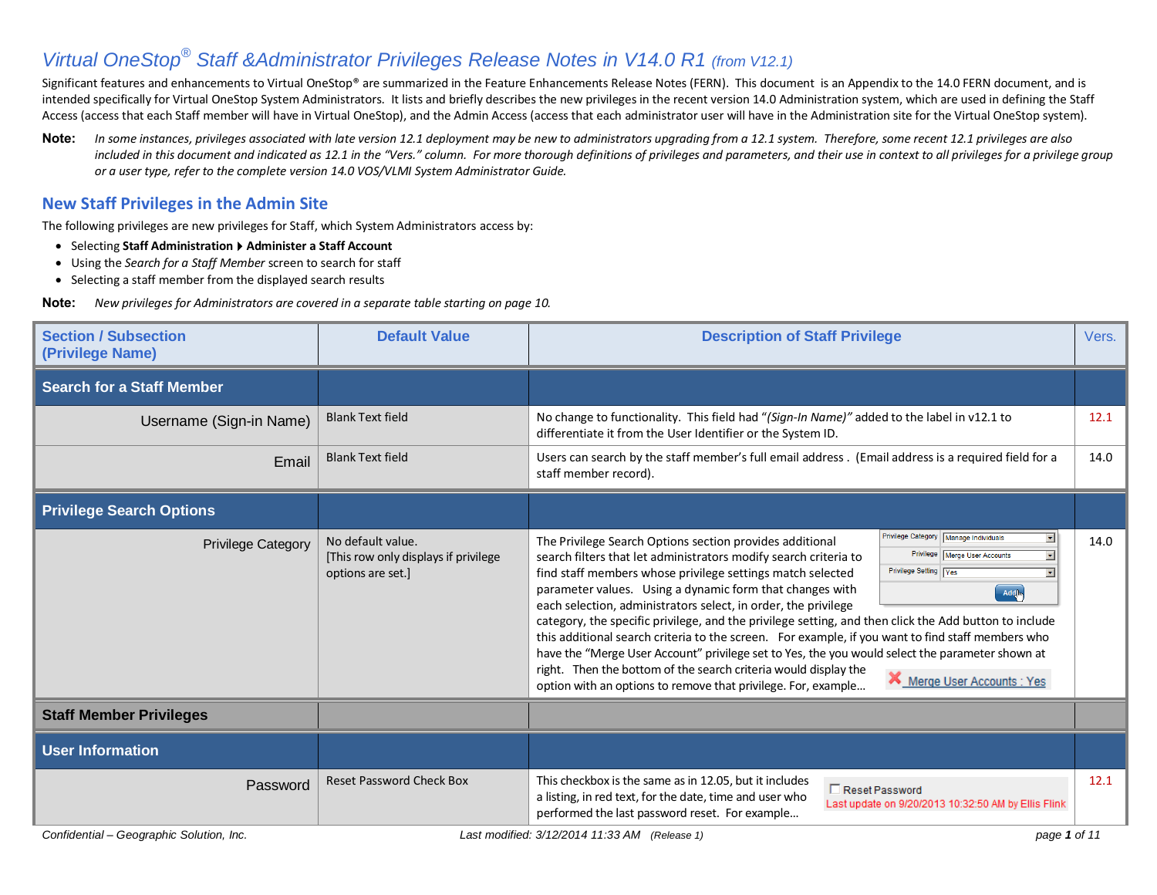## *Virtual OneStop® Staff &Administrator Privileges Release Notes in V14.0 R1 (from V12.1)*

Significant features and enhancements to Virtual OneStop® are summarized in the Feature Enhancements Release Notes (FERN). This document is an Appendix to the 14.0 FERN document, and is intended specifically for Virtual OneStop System Administrators. It lists and briefly describes the new privileges in the recent version 14.0 Administration system, which are used in defining the Staff Access (access that each Staff member will have in Virtual OneStop), and the Admin Access (access that each administrator user will have in the Administration site for the Virtual OneStop system).

Note: In some instances, privileges associated with late version 12.1 deployment may be new to administrators upgrading from a 12.1 system. Therefore, some recent 12.1 privileges are also included in this document and indicated as 12.1 in the "Vers." column. For more thorough definitions of privileges and parameters, and their use in context to all privileges for a privilege group *or a user type, refer to the complete version 14.0 VOS/VLMI System Administrator Guide.* 

## **New Staff Privileges in the Admin Site**

The following privileges are new privileges for Staff, which System Administrators access by:

- Selecting Staff Administration ▶ Administer a Staff Account
- Using the *Search for a Staff Member* screen to search for staff
- Selecting a staff member from the displayed search results

**Note:** *New privileges for Administrators are covered in a separate table starting on page 10.* 

| <b>Section / Subsection</b><br>(Privilege Name) | <b>Default Value</b>                                                            | <b>Description of Staff Privilege</b>                                                                                                                                                                                                                                                                                                                                                                                                                                                                                                                                                                                                                                                                                                                                                                                                                                                                                           | Vers. |
|-------------------------------------------------|---------------------------------------------------------------------------------|---------------------------------------------------------------------------------------------------------------------------------------------------------------------------------------------------------------------------------------------------------------------------------------------------------------------------------------------------------------------------------------------------------------------------------------------------------------------------------------------------------------------------------------------------------------------------------------------------------------------------------------------------------------------------------------------------------------------------------------------------------------------------------------------------------------------------------------------------------------------------------------------------------------------------------|-------|
| <b>Search for a Staff Member</b>                |                                                                                 |                                                                                                                                                                                                                                                                                                                                                                                                                                                                                                                                                                                                                                                                                                                                                                                                                                                                                                                                 |       |
| Username (Sign-in Name)                         | <b>Blank Text field</b>                                                         | No change to functionality. This field had "(Sign-In Name)" added to the label in v12.1 to<br>differentiate it from the User Identifier or the System ID.                                                                                                                                                                                                                                                                                                                                                                                                                                                                                                                                                                                                                                                                                                                                                                       | 12.1  |
| Email                                           | <b>Blank Text field</b>                                                         | Users can search by the staff member's full email address . (Email address is a required field for a<br>staff member record).                                                                                                                                                                                                                                                                                                                                                                                                                                                                                                                                                                                                                                                                                                                                                                                                   | 14.0  |
| <b>Privilege Search Options</b>                 |                                                                                 |                                                                                                                                                                                                                                                                                                                                                                                                                                                                                                                                                                                                                                                                                                                                                                                                                                                                                                                                 |       |
| <b>Privilege Category</b>                       | No default value.<br>[This row only displays if privilege]<br>options are set.] | Privilege Category   Manage Individuals<br>츠<br>The Privilege Search Options section provides additional<br>Privilege   Merge User Accounts<br>search filters that let administrators modify search criteria to<br>Privilege Setting   Yes<br>find staff members whose privilege settings match selected<br>parameter values. Using a dynamic form that changes with<br>Add<br>each selection, administrators select, in order, the privilege<br>category, the specific privilege, and the privilege setting, and then click the Add button to include<br>this additional search criteria to the screen. For example, if you want to find staff members who<br>have the "Merge User Account" privilege set to Yes, the you would select the parameter shown at<br>right. Then the bottom of the search criteria would display the<br>Merge User Accounts : Yes<br>option with an options to remove that privilege. For, example | 14.0  |
| <b>Staff Member Privileges</b>                  |                                                                                 |                                                                                                                                                                                                                                                                                                                                                                                                                                                                                                                                                                                                                                                                                                                                                                                                                                                                                                                                 |       |
| <b>User Information</b>                         |                                                                                 |                                                                                                                                                                                                                                                                                                                                                                                                                                                                                                                                                                                                                                                                                                                                                                                                                                                                                                                                 |       |
| Password                                        | <b>Reset Password Check Box</b>                                                 | This checkbox is the same as in 12.05, but it includes<br>Reset Password<br>a listing, in red text, for the date, time and user who<br>Last update on 9/20/2013 10:32:50 AM by Ellis Flink<br>performed the last password reset. For example                                                                                                                                                                                                                                                                                                                                                                                                                                                                                                                                                                                                                                                                                    | 12.1  |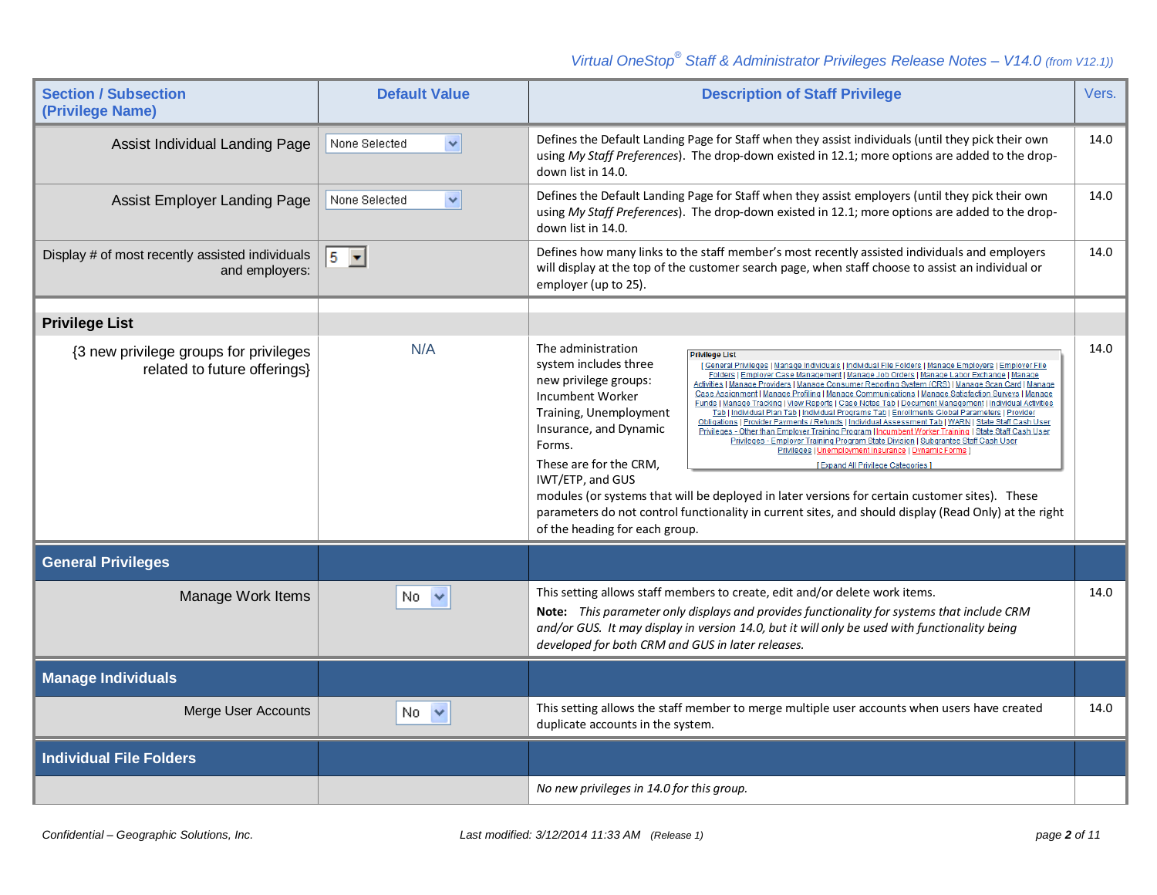## *Virtual OneStop® Staff & Administrator Privileges Release Notes – V14.0 (from V12.1))*

| <b>Section / Subsection</b><br>(Privilege Name)                        | <b>Default Value</b>          | <b>Description of Staff Privilege</b>                                                                                                                                                                                                                                                                                                                                                                                                                                                                                                                                                                                                                                                                                                                                                                                                                                                                                                                                                                                                                                                                                                                                                                                                                                  | Vers. |
|------------------------------------------------------------------------|-------------------------------|------------------------------------------------------------------------------------------------------------------------------------------------------------------------------------------------------------------------------------------------------------------------------------------------------------------------------------------------------------------------------------------------------------------------------------------------------------------------------------------------------------------------------------------------------------------------------------------------------------------------------------------------------------------------------------------------------------------------------------------------------------------------------------------------------------------------------------------------------------------------------------------------------------------------------------------------------------------------------------------------------------------------------------------------------------------------------------------------------------------------------------------------------------------------------------------------------------------------------------------------------------------------|-------|
| Assist Individual Landing Page                                         | None Selected<br>×            | Defines the Default Landing Page for Staff when they assist individuals (until they pick their own<br>using My Staff Preferences). The drop-down existed in 12.1; more options are added to the drop-<br>down list in 14.0.                                                                                                                                                                                                                                                                                                                                                                                                                                                                                                                                                                                                                                                                                                                                                                                                                                                                                                                                                                                                                                            | 14.0  |
| Assist Employer Landing Page                                           | $\checkmark$<br>None Selected | Defines the Default Landing Page for Staff when they assist employers (until they pick their own<br>using My Staff Preferences). The drop-down existed in 12.1; more options are added to the drop-<br>down list in 14.0.                                                                                                                                                                                                                                                                                                                                                                                                                                                                                                                                                                                                                                                                                                                                                                                                                                                                                                                                                                                                                                              | 14.0  |
| Display # of most recently assisted individuals<br>and employers:      | $5 - $                        | Defines how many links to the staff member's most recently assisted individuals and employers<br>will display at the top of the customer search page, when staff choose to assist an individual or<br>employer (up to 25).                                                                                                                                                                                                                                                                                                                                                                                                                                                                                                                                                                                                                                                                                                                                                                                                                                                                                                                                                                                                                                             | 14.0  |
| <b>Privilege List</b>                                                  |                               |                                                                                                                                                                                                                                                                                                                                                                                                                                                                                                                                                                                                                                                                                                                                                                                                                                                                                                                                                                                                                                                                                                                                                                                                                                                                        |       |
| {3 new privilege groups for privileges<br>related to future offerings} | N/A                           | The administration<br><b>Privilege List</b><br>system includes three<br>[General Privileges   Manage Individuals   Individual File Folders   Manage Employers<br>Folders   Employer Case Management   Manage Job Orders   Manage Labor Exch<br>new privilege groups:<br>Activities   Manage Providers   Manage Consumer Reporting System (CRS)<br>Incumbent Worker<br><b>Funds   Manage Tracking   View Reports   Case Notes Tab   Document Mana</b><br>Training, Unemployment<br>Tab   Individual Plan Tab   Individual Programs Tab   Enrollments Global<br>Obligations   Provider Payments / Refunds   Individual Assessment Tab   WARN<br>Insurance, and Dynamic<br>Privileges - Other than Employer Training Program   Incumbent Worker Training   State Staff Cash User<br>Privileges - Employer Training Program State Division   Subgrantee Staff Cash User<br>Forms.<br>Privileges   Unemployment Insurance   Dynamic Forms  <br>These are for the CRM,<br>[Expand All Privilege Categories]<br>IWT/ETP, and GUS<br>modules (or systems that will be deployed in later versions for certain customer sites). These<br>parameters do not control functionality in current sites, and should display (Read Only) at the right<br>of the heading for each group. | 14.0  |
| <b>General Privileges</b>                                              |                               |                                                                                                                                                                                                                                                                                                                                                                                                                                                                                                                                                                                                                                                                                                                                                                                                                                                                                                                                                                                                                                                                                                                                                                                                                                                                        |       |
| Manage Work Items                                                      | $No \sim$                     | This setting allows staff members to create, edit and/or delete work items.<br>Note: This parameter only displays and provides functionality for systems that include CRM<br>and/or GUS. It may display in version 14.0, but it will only be used with functionality being<br>developed for both CRM and GUS in later releases.                                                                                                                                                                                                                                                                                                                                                                                                                                                                                                                                                                                                                                                                                                                                                                                                                                                                                                                                        | 14.0  |
| <b>Manage Individuals</b>                                              |                               |                                                                                                                                                                                                                                                                                                                                                                                                                                                                                                                                                                                                                                                                                                                                                                                                                                                                                                                                                                                                                                                                                                                                                                                                                                                                        |       |
| Merge User Accounts                                                    | $No \sim$                     | This setting allows the staff member to merge multiple user accounts when users have created<br>duplicate accounts in the system.                                                                                                                                                                                                                                                                                                                                                                                                                                                                                                                                                                                                                                                                                                                                                                                                                                                                                                                                                                                                                                                                                                                                      | 14.0  |
| <b>Individual File Folders</b>                                         |                               |                                                                                                                                                                                                                                                                                                                                                                                                                                                                                                                                                                                                                                                                                                                                                                                                                                                                                                                                                                                                                                                                                                                                                                                                                                                                        |       |
|                                                                        |                               | No new privileges in 14.0 for this group.                                                                                                                                                                                                                                                                                                                                                                                                                                                                                                                                                                                                                                                                                                                                                                                                                                                                                                                                                                                                                                                                                                                                                                                                                              |       |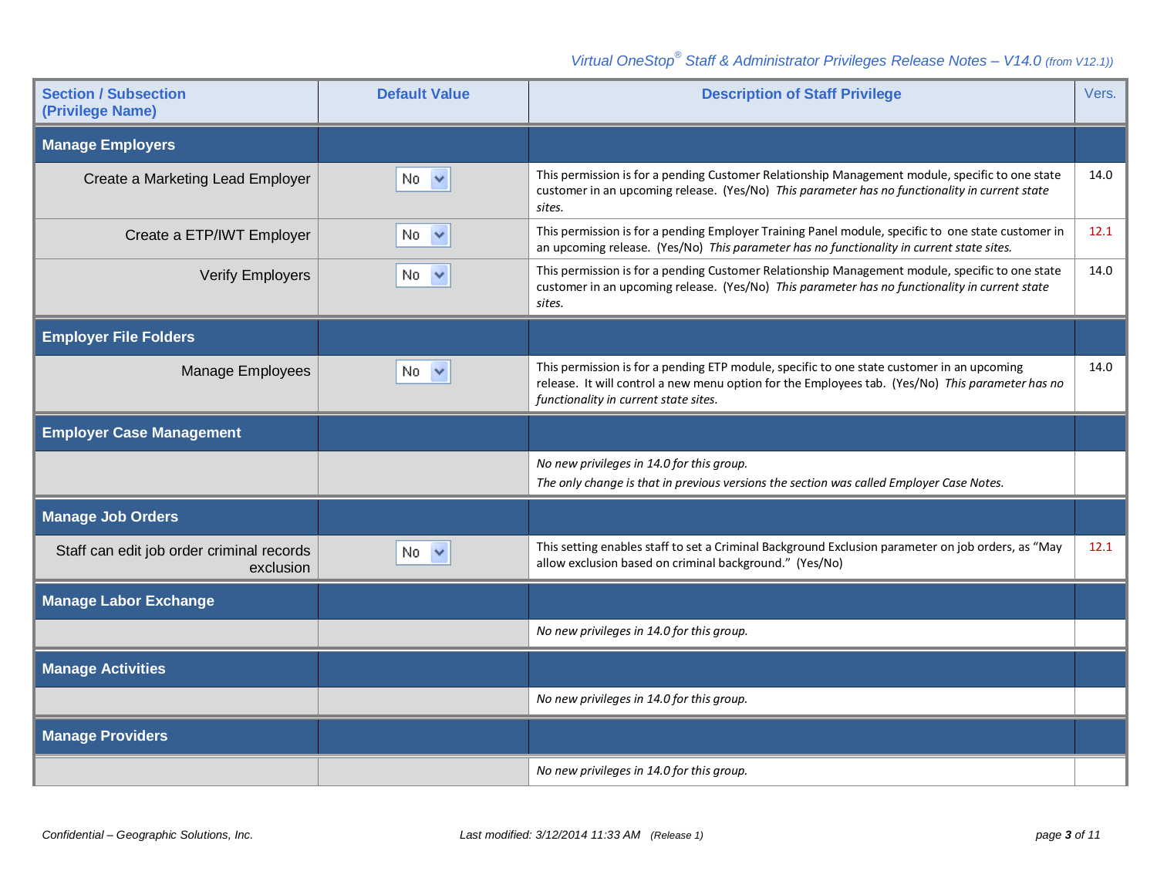| <b>Section / Subsection</b><br>(Privilege Name)        | <b>Default Value</b> | <b>Description of Staff Privilege</b>                                                                                                                                                                                                   | Vers. |
|--------------------------------------------------------|----------------------|-----------------------------------------------------------------------------------------------------------------------------------------------------------------------------------------------------------------------------------------|-------|
| <b>Manage Employers</b>                                |                      |                                                                                                                                                                                                                                         |       |
| Create a Marketing Lead Employer                       | $No \sim$            | This permission is for a pending Customer Relationship Management module, specific to one state<br>customer in an upcoming release. (Yes/No) This parameter has no functionality in current state<br>sites.                             | 14.0  |
| Create a ETP/IWT Employer                              | $No \sim$            | This permission is for a pending Employer Training Panel module, specific to one state customer in<br>an upcoming release. (Yes/No) This parameter has no functionality in current state sites.                                         | 12.1  |
| <b>Verify Employers</b>                                | No.                  | This permission is for a pending Customer Relationship Management module, specific to one state<br>customer in an upcoming release. (Yes/No) This parameter has no functionality in current state<br>sites.                             | 14.0  |
| <b>Employer File Folders</b>                           |                      |                                                                                                                                                                                                                                         |       |
| <b>Manage Employees</b>                                | No.<br>$\checkmark$  | This permission is for a pending ETP module, specific to one state customer in an upcoming<br>release. It will control a new menu option for the Employees tab. (Yes/No) This parameter has no<br>functionality in current state sites. | 14.0  |
| <b>Employer Case Management</b>                        |                      |                                                                                                                                                                                                                                         |       |
|                                                        |                      | No new privileges in 14.0 for this group.<br>The only change is that in previous versions the section was called Employer Case Notes.                                                                                                   |       |
| <b>Manage Job Orders</b>                               |                      |                                                                                                                                                                                                                                         |       |
| Staff can edit job order criminal records<br>exclusion | No.                  | This setting enables staff to set a Criminal Background Exclusion parameter on job orders, as "May<br>allow exclusion based on criminal background." (Yes/No)                                                                           | 12.1  |
| <b>Manage Labor Exchange</b>                           |                      |                                                                                                                                                                                                                                         |       |
|                                                        |                      | No new privileges in 14.0 for this group.                                                                                                                                                                                               |       |
| <b>Manage Activities</b>                               |                      |                                                                                                                                                                                                                                         |       |
|                                                        |                      | No new privileges in 14.0 for this group.                                                                                                                                                                                               |       |
| <b>Manage Providers</b>                                |                      |                                                                                                                                                                                                                                         |       |
|                                                        |                      | No new privileges in 14.0 for this group.                                                                                                                                                                                               |       |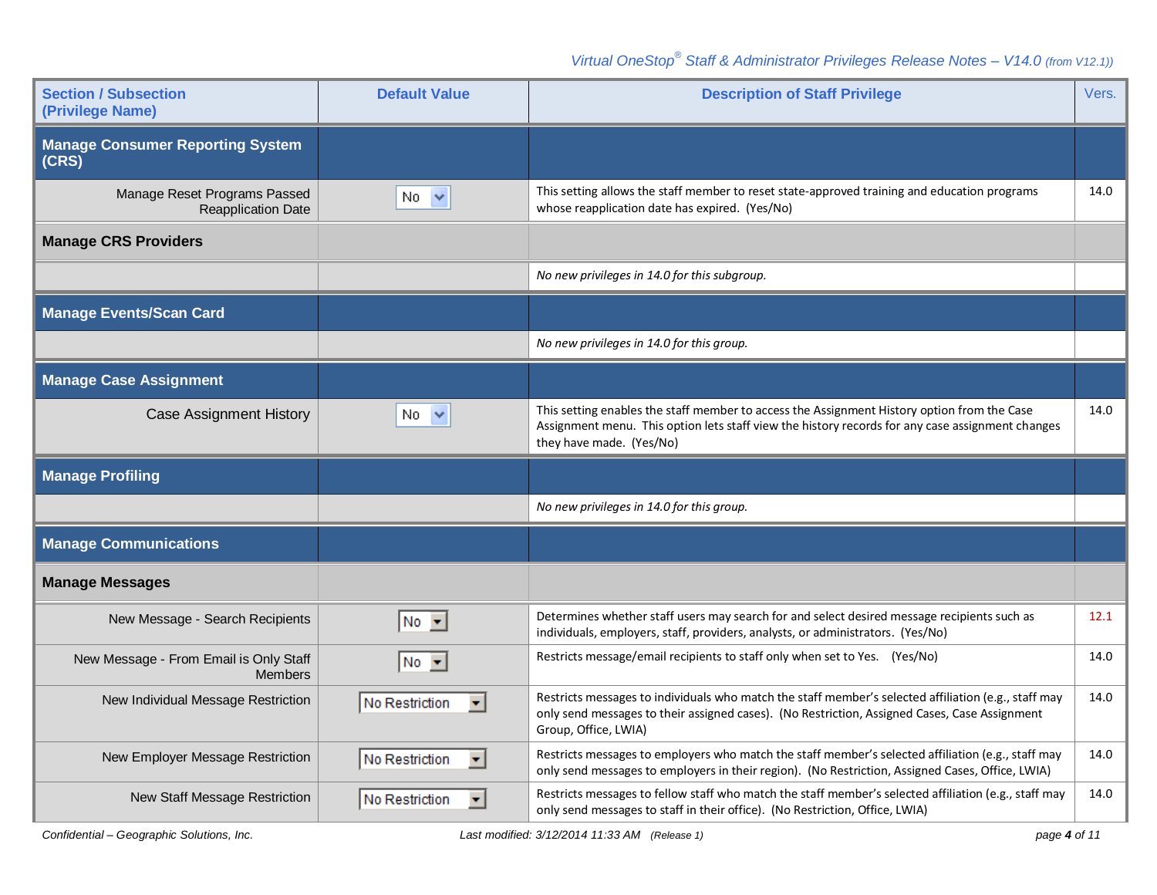| <b>Section / Subsection</b><br>(Privilege Name)           | <b>Default Value</b>                   | <b>Description of Staff Privilege</b>                                                                                                                                                                                         | Vers. |
|-----------------------------------------------------------|----------------------------------------|-------------------------------------------------------------------------------------------------------------------------------------------------------------------------------------------------------------------------------|-------|
| <b>Manage Consumer Reporting System</b><br>(CRS)          |                                        |                                                                                                                                                                                                                               |       |
| Manage Reset Programs Passed<br><b>Reapplication Date</b> | No $\vee$                              | This setting allows the staff member to reset state-approved training and education programs<br>whose reapplication date has expired. (Yes/No)                                                                                | 14.0  |
| <b>Manage CRS Providers</b>                               |                                        |                                                                                                                                                                                                                               |       |
|                                                           |                                        | No new privileges in 14.0 for this subgroup.                                                                                                                                                                                  |       |
| <b>Manage Events/Scan Card</b>                            |                                        |                                                                                                                                                                                                                               |       |
|                                                           |                                        | No new privileges in 14.0 for this group.                                                                                                                                                                                     |       |
| <b>Manage Case Assignment</b>                             |                                        |                                                                                                                                                                                                                               |       |
| <b>Case Assignment History</b>                            | No.<br>$\checkmark$                    | This setting enables the staff member to access the Assignment History option from the Case<br>Assignment menu. This option lets staff view the history records for any case assignment changes<br>they have made. (Yes/No)   | 14.0  |
|                                                           |                                        |                                                                                                                                                                                                                               |       |
| <b>Manage Profiling</b>                                   |                                        |                                                                                                                                                                                                                               |       |
|                                                           |                                        | No new privileges in 14.0 for this group.                                                                                                                                                                                     |       |
| <b>Manage Communications</b>                              |                                        |                                                                                                                                                                                                                               |       |
| <b>Manage Messages</b>                                    |                                        |                                                                                                                                                                                                                               |       |
| New Message - Search Recipients                           | $No - \blacktriangleright$             | Determines whether staff users may search for and select desired message recipients such as<br>individuals, employers, staff, providers, analysts, or administrators. (Yes/No)                                                | 12.1  |
| New Message - From Email is Only Staff<br><b>Members</b>  | $No -$                                 | Restricts message/email recipients to staff only when set to Yes. (Yes/No)                                                                                                                                                    | 14.0  |
| New Individual Message Restriction                        | No Restriction<br>$\blacktriangledown$ | Restricts messages to individuals who match the staff member's selected affiliation (e.g., staff may<br>only send messages to their assigned cases). (No Restriction, Assigned Cases, Case Assignment<br>Group, Office, LWIA) | 14.0  |
| New Employer Message Restriction                          | No Restriction<br>$\blacktriangledown$ | Restricts messages to employers who match the staff member's selected affiliation (e.g., staff may<br>only send messages to employers in their region). (No Restriction, Assigned Cases, Office, LWIA)                        | 14.0  |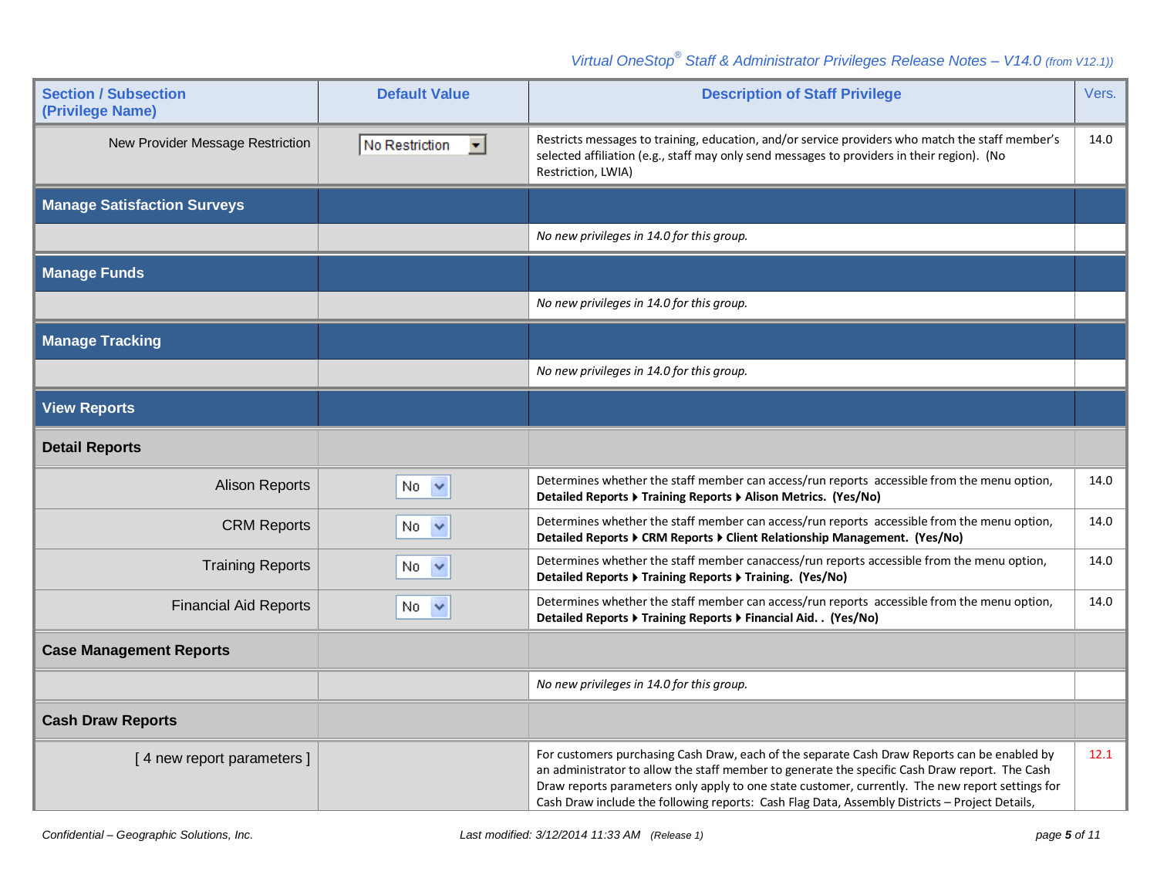| <b>Section / Subsection</b><br>(Privilege Name) | <b>Default Value</b>                   | <b>Description of Staff Privilege</b>                                                                                                                                                                                                                                                                                                                                                                | Vers. |
|-------------------------------------------------|----------------------------------------|------------------------------------------------------------------------------------------------------------------------------------------------------------------------------------------------------------------------------------------------------------------------------------------------------------------------------------------------------------------------------------------------------|-------|
| New Provider Message Restriction                | No Restriction<br>$\blacktriangledown$ | Restricts messages to training, education, and/or service providers who match the staff member's<br>selected affiliation (e.g., staff may only send messages to providers in their region). (No<br>Restriction, LWIA)                                                                                                                                                                                | 14.0  |
| <b>Manage Satisfaction Surveys</b>              |                                        |                                                                                                                                                                                                                                                                                                                                                                                                      |       |
|                                                 |                                        | No new privileges in 14.0 for this group.                                                                                                                                                                                                                                                                                                                                                            |       |
| <b>Manage Funds</b>                             |                                        |                                                                                                                                                                                                                                                                                                                                                                                                      |       |
|                                                 |                                        | No new privileges in 14.0 for this group.                                                                                                                                                                                                                                                                                                                                                            |       |
| <b>Manage Tracking</b>                          |                                        |                                                                                                                                                                                                                                                                                                                                                                                                      |       |
|                                                 |                                        | No new privileges in 14.0 for this group.                                                                                                                                                                                                                                                                                                                                                            |       |
| <b>View Reports</b>                             |                                        |                                                                                                                                                                                                                                                                                                                                                                                                      |       |
| <b>Detail Reports</b>                           |                                        |                                                                                                                                                                                                                                                                                                                                                                                                      |       |
| <b>Alison Reports</b>                           | $No \sim$                              | Determines whether the staff member can access/run reports accessible from the menu option,<br>Detailed Reports ▶ Training Reports ▶ Alison Metrics. (Yes/No)                                                                                                                                                                                                                                        | 14.0  |
| <b>CRM Reports</b>                              | No.<br>$\checkmark$                    | Determines whether the staff member can access/run reports accessible from the menu option,<br>Detailed Reports ▶ CRM Reports ▶ Client Relationship Management. (Yes/No)                                                                                                                                                                                                                             | 14.0  |
| <b>Training Reports</b>                         | No.<br>$\checkmark$                    | Determines whether the staff member canaccess/run reports accessible from the menu option,<br>Detailed Reports ▶ Training Reports ▶ Training. (Yes/No)                                                                                                                                                                                                                                               | 14.0  |
| <b>Financial Aid Reports</b>                    | No<br>$\checkmark$                     | Determines whether the staff member can access/run reports accessible from the menu option,<br>Detailed Reports ▶ Training Reports ▶ Financial Aid. . (Yes/No)                                                                                                                                                                                                                                       | 14.0  |
| <b>Case Management Reports</b>                  |                                        |                                                                                                                                                                                                                                                                                                                                                                                                      |       |
|                                                 |                                        | No new privileges in 14.0 for this group.                                                                                                                                                                                                                                                                                                                                                            |       |
| <b>Cash Draw Reports</b>                        |                                        |                                                                                                                                                                                                                                                                                                                                                                                                      |       |
| [4 new report parameters]                       |                                        | For customers purchasing Cash Draw, each of the separate Cash Draw Reports can be enabled by<br>an administrator to allow the staff member to generate the specific Cash Draw report. The Cash<br>Draw reports parameters only apply to one state customer, currently. The new report settings for<br>Cash Draw include the following reports: Cash Flag Data, Assembly Districts - Project Details, | 12.1  |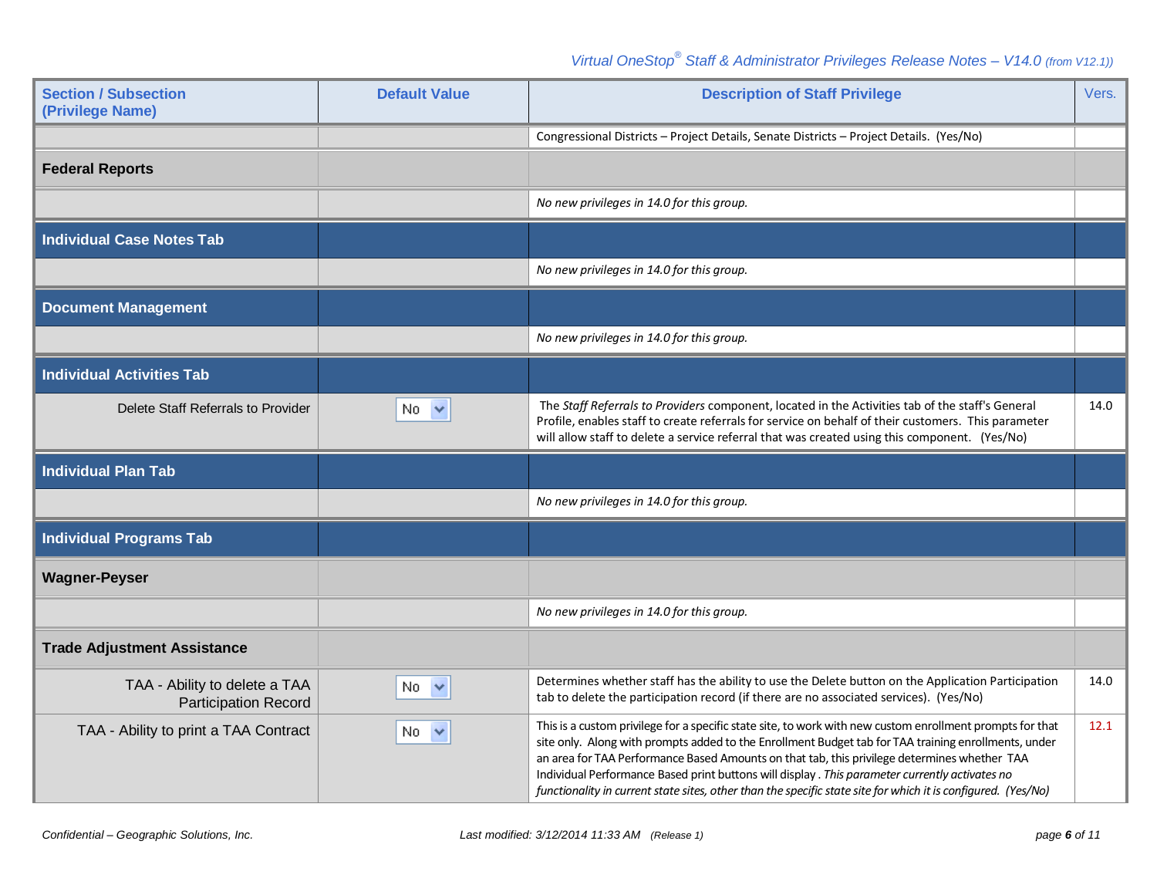| <b>Section / Subsection</b><br>(Privilege Name)              | <b>Default Value</b> | <b>Description of Staff Privilege</b>                                                                                                                                                                                                                                                                                                                                                                                                                                                                                                 | Vers. |
|--------------------------------------------------------------|----------------------|---------------------------------------------------------------------------------------------------------------------------------------------------------------------------------------------------------------------------------------------------------------------------------------------------------------------------------------------------------------------------------------------------------------------------------------------------------------------------------------------------------------------------------------|-------|
|                                                              |                      | Congressional Districts - Project Details, Senate Districts - Project Details. (Yes/No)                                                                                                                                                                                                                                                                                                                                                                                                                                               |       |
| <b>Federal Reports</b>                                       |                      |                                                                                                                                                                                                                                                                                                                                                                                                                                                                                                                                       |       |
|                                                              |                      | No new privileges in 14.0 for this group.                                                                                                                                                                                                                                                                                                                                                                                                                                                                                             |       |
| <b>Individual Case Notes Tab</b>                             |                      |                                                                                                                                                                                                                                                                                                                                                                                                                                                                                                                                       |       |
|                                                              |                      | No new privileges in 14.0 for this group.                                                                                                                                                                                                                                                                                                                                                                                                                                                                                             |       |
| <b>Document Management</b>                                   |                      |                                                                                                                                                                                                                                                                                                                                                                                                                                                                                                                                       |       |
|                                                              |                      | No new privileges in 14.0 for this group.                                                                                                                                                                                                                                                                                                                                                                                                                                                                                             |       |
| <b>Individual Activities Tab</b>                             |                      |                                                                                                                                                                                                                                                                                                                                                                                                                                                                                                                                       |       |
| Delete Staff Referrals to Provider                           | No.<br>$\checkmark$  | The Staff Referrals to Providers component, located in the Activities tab of the staff's General<br>Profile, enables staff to create referrals for service on behalf of their customers. This parameter<br>will allow staff to delete a service referral that was created using this component. (Yes/No)                                                                                                                                                                                                                              | 14.0  |
| <b>Individual Plan Tab</b>                                   |                      |                                                                                                                                                                                                                                                                                                                                                                                                                                                                                                                                       |       |
|                                                              |                      | No new privileges in 14.0 for this group.                                                                                                                                                                                                                                                                                                                                                                                                                                                                                             |       |
| <b>Individual Programs Tab</b>                               |                      |                                                                                                                                                                                                                                                                                                                                                                                                                                                                                                                                       |       |
| <b>Wagner-Peyser</b>                                         |                      |                                                                                                                                                                                                                                                                                                                                                                                                                                                                                                                                       |       |
|                                                              |                      | No new privileges in 14.0 for this group.                                                                                                                                                                                                                                                                                                                                                                                                                                                                                             |       |
| <b>Trade Adjustment Assistance</b>                           |                      |                                                                                                                                                                                                                                                                                                                                                                                                                                                                                                                                       |       |
| TAA - Ability to delete a TAA<br><b>Participation Record</b> | $\checkmark$<br>No.  | Determines whether staff has the ability to use the Delete button on the Application Participation<br>tab to delete the participation record (if there are no associated services). (Yes/No)                                                                                                                                                                                                                                                                                                                                          | 14.0  |
| TAA - Ability to print a TAA Contract                        | No $\vee$            | This is a custom privilege for a specific state site, to work with new custom enrollment prompts for that<br>site only. Along with prompts added to the Enrollment Budget tab for TAA training enrollments, under<br>an area for TAA Performance Based Amounts on that tab, this privilege determines whether TAA<br>Individual Performance Based print buttons will display . This parameter currently activates no<br>functionality in current state sites, other than the specific state site for which it is configured. (Yes/No) | 12.1  |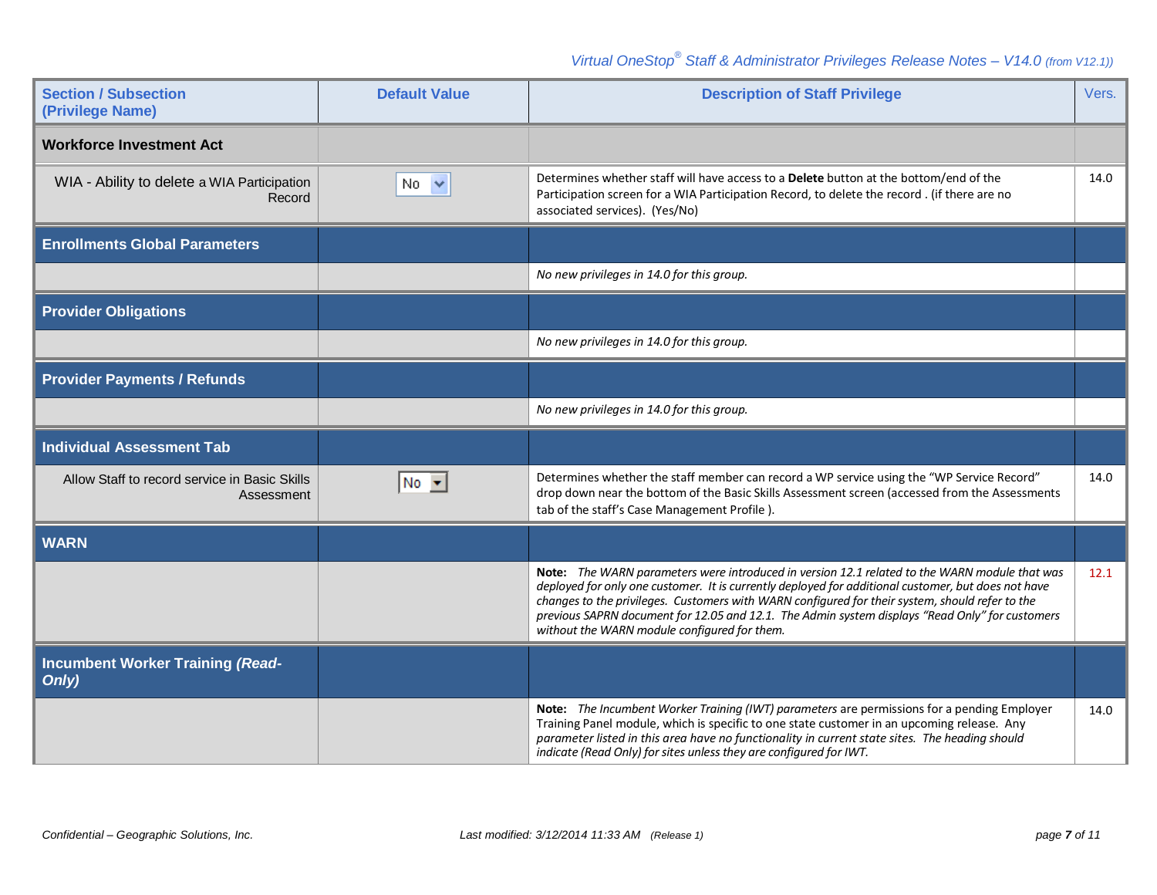| <b>Section / Subsection</b><br>(Privilege Name)             | <b>Default Value</b> | <b>Description of Staff Privilege</b>                                                                                                                                                                                                                                                                                                                                                                                                                      | Vers. |
|-------------------------------------------------------------|----------------------|------------------------------------------------------------------------------------------------------------------------------------------------------------------------------------------------------------------------------------------------------------------------------------------------------------------------------------------------------------------------------------------------------------------------------------------------------------|-------|
| <b>Workforce Investment Act</b>                             |                      |                                                                                                                                                                                                                                                                                                                                                                                                                                                            |       |
| WIA - Ability to delete a WIA Participation<br>Record       | No.<br>$\checkmark$  | Determines whether staff will have access to a Delete button at the bottom/end of the<br>Participation screen for a WIA Participation Record, to delete the record . (if there are no<br>associated services). (Yes/No)                                                                                                                                                                                                                                    | 14.0  |
| <b>Enrollments Global Parameters</b>                        |                      |                                                                                                                                                                                                                                                                                                                                                                                                                                                            |       |
|                                                             |                      | No new privileges in 14.0 for this group.                                                                                                                                                                                                                                                                                                                                                                                                                  |       |
| <b>Provider Obligations</b>                                 |                      |                                                                                                                                                                                                                                                                                                                                                                                                                                                            |       |
|                                                             |                      | No new privileges in 14.0 for this group.                                                                                                                                                                                                                                                                                                                                                                                                                  |       |
| <b>Provider Payments / Refunds</b>                          |                      |                                                                                                                                                                                                                                                                                                                                                                                                                                                            |       |
|                                                             |                      | No new privileges in 14.0 for this group.                                                                                                                                                                                                                                                                                                                                                                                                                  |       |
| <b>Individual Assessment Tab</b>                            |                      |                                                                                                                                                                                                                                                                                                                                                                                                                                                            |       |
| Allow Staff to record service in Basic Skills<br>Assessment | $No \rightarrow$     | Determines whether the staff member can record a WP service using the "WP Service Record"<br>drop down near the bottom of the Basic Skills Assessment screen (accessed from the Assessments<br>tab of the staff's Case Management Profile).                                                                                                                                                                                                                | 14.0  |
| <b>WARN</b>                                                 |                      |                                                                                                                                                                                                                                                                                                                                                                                                                                                            |       |
|                                                             |                      | Note: The WARN parameters were introduced in version 12.1 related to the WARN module that was<br>deployed for only one customer. It is currently deployed for additional customer, but does not have<br>changes to the privileges. Customers with WARN configured for their system, should refer to the<br>previous SAPRN document for 12.05 and 12.1. The Admin system displays "Read Only" for customers<br>without the WARN module configured for them. | 12.1  |
| <b>Incumbent Worker Training (Read-</b><br>Only)            |                      |                                                                                                                                                                                                                                                                                                                                                                                                                                                            |       |
|                                                             |                      | Note: The Incumbent Worker Training (IWT) parameters are permissions for a pending Employer<br>Training Panel module, which is specific to one state customer in an upcoming release. Any<br>parameter listed in this area have no functionality in current state sites. The heading should<br>indicate (Read Only) for sites unless they are configured for IWT.                                                                                          | 14.0  |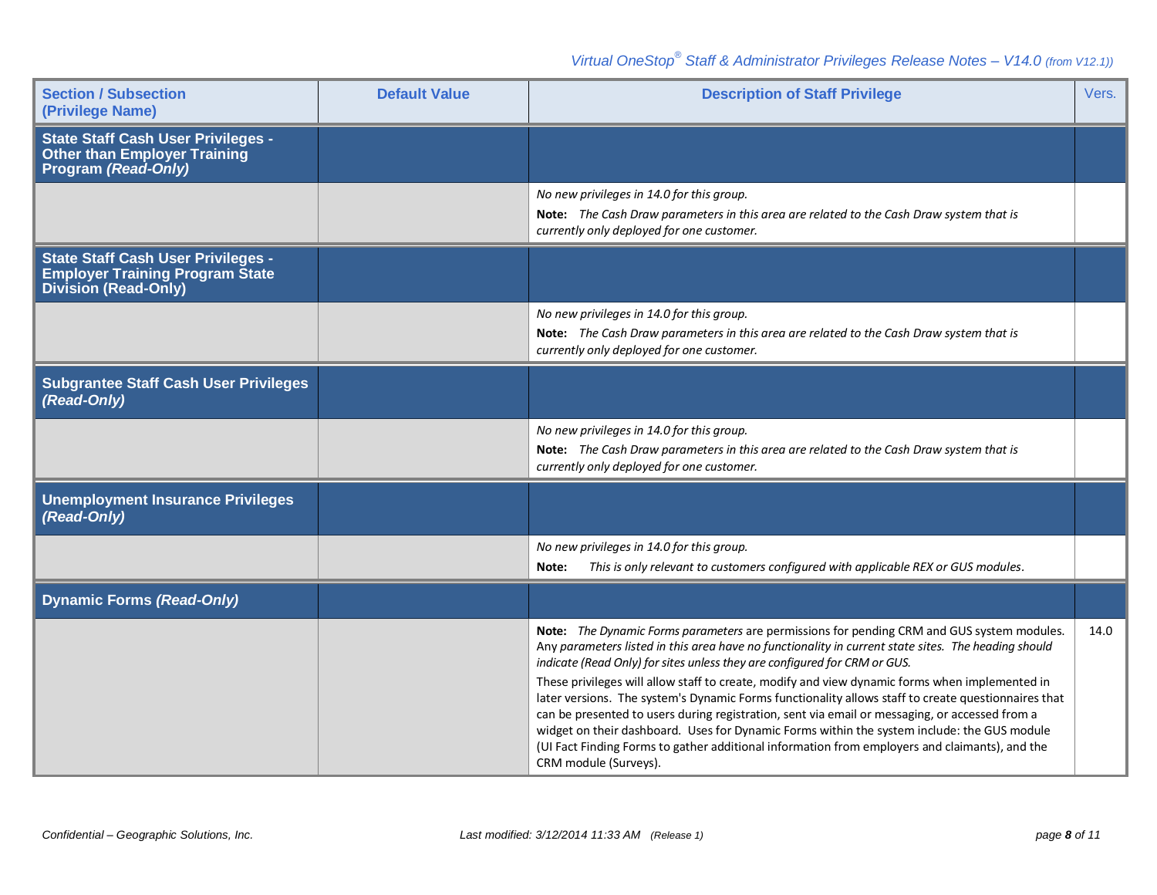| <b>Section / Subsection</b><br>(Privilege Name)                                                                    | <b>Default Value</b> | <b>Description of Staff Privilege</b>                                                                                                                                                                                                                                                                                                                                                                                                                                                                                                                                                                                                                                                                                                                                                                               | Vers. |
|--------------------------------------------------------------------------------------------------------------------|----------------------|---------------------------------------------------------------------------------------------------------------------------------------------------------------------------------------------------------------------------------------------------------------------------------------------------------------------------------------------------------------------------------------------------------------------------------------------------------------------------------------------------------------------------------------------------------------------------------------------------------------------------------------------------------------------------------------------------------------------------------------------------------------------------------------------------------------------|-------|
| <b>State Staff Cash User Privileges -</b><br><b>Other than Employer Training</b><br>Program (Read-Only)            |                      |                                                                                                                                                                                                                                                                                                                                                                                                                                                                                                                                                                                                                                                                                                                                                                                                                     |       |
|                                                                                                                    |                      | No new privileges in 14.0 for this group.<br>Note: The Cash Draw parameters in this area are related to the Cash Draw system that is<br>currently only deployed for one customer.                                                                                                                                                                                                                                                                                                                                                                                                                                                                                                                                                                                                                                   |       |
| <b>State Staff Cash User Privileges -</b><br><b>Employer Training Program State</b><br><b>Division (Read-Only)</b> |                      |                                                                                                                                                                                                                                                                                                                                                                                                                                                                                                                                                                                                                                                                                                                                                                                                                     |       |
|                                                                                                                    |                      | No new privileges in 14.0 for this group.<br>Note: The Cash Draw parameters in this area are related to the Cash Draw system that is<br>currently only deployed for one customer.                                                                                                                                                                                                                                                                                                                                                                                                                                                                                                                                                                                                                                   |       |
| <b>Subgrantee Staff Cash User Privileges</b><br>(Read-Only)                                                        |                      |                                                                                                                                                                                                                                                                                                                                                                                                                                                                                                                                                                                                                                                                                                                                                                                                                     |       |
|                                                                                                                    |                      | No new privileges in 14.0 for this group.<br>Note: The Cash Draw parameters in this area are related to the Cash Draw system that is<br>currently only deployed for one customer.                                                                                                                                                                                                                                                                                                                                                                                                                                                                                                                                                                                                                                   |       |
| <b>Unemployment Insurance Privileges</b><br>(Read-Only)                                                            |                      |                                                                                                                                                                                                                                                                                                                                                                                                                                                                                                                                                                                                                                                                                                                                                                                                                     |       |
|                                                                                                                    |                      | No new privileges in 14.0 for this group.<br>This is only relevant to customers configured with applicable REX or GUS modules.<br>Note:                                                                                                                                                                                                                                                                                                                                                                                                                                                                                                                                                                                                                                                                             |       |
| <b>Dynamic Forms (Read-Only)</b>                                                                                   |                      |                                                                                                                                                                                                                                                                                                                                                                                                                                                                                                                                                                                                                                                                                                                                                                                                                     |       |
|                                                                                                                    |                      | Note: The Dynamic Forms parameters are permissions for pending CRM and GUS system modules.<br>Any parameters listed in this area have no functionality in current state sites. The heading should<br>indicate (Read Only) for sites unless they are configured for CRM or GUS.<br>These privileges will allow staff to create, modify and view dynamic forms when implemented in<br>later versions. The system's Dynamic Forms functionality allows staff to create questionnaires that<br>can be presented to users during registration, sent via email or messaging, or accessed from a<br>widget on their dashboard. Uses for Dynamic Forms within the system include: the GUS module<br>(UI Fact Finding Forms to gather additional information from employers and claimants), and the<br>CRM module (Surveys). | 14.0  |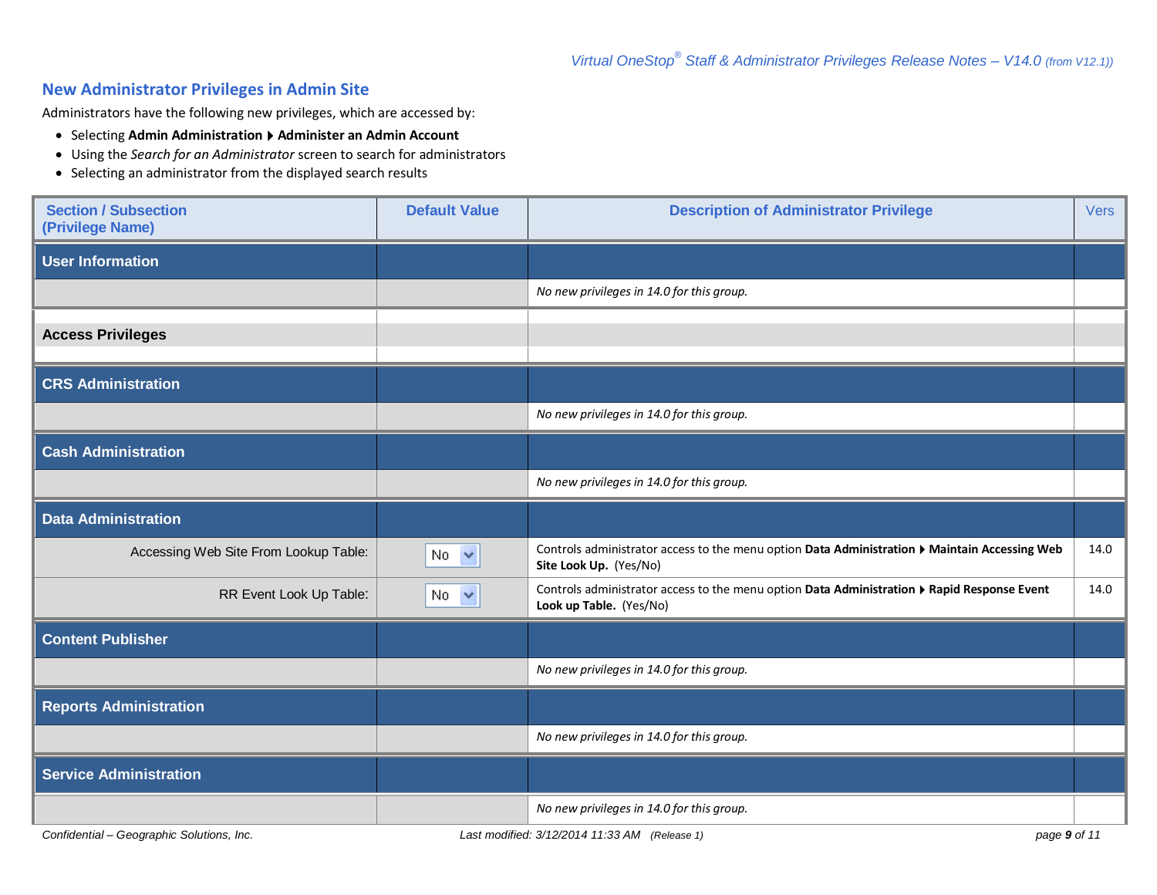## **New Administrator Privileges in Admin Site**

Administrators have the following new privileges, which are accessed by:

- **Selecting Admin Administration**  $\rightarrow$  **Administer an Admin Account**
- Using the *Search for an Administrator* screen to search for administrators
- Selecting an administrator from the displayed search results

| <b>Section / Subsection</b><br>(Privilege Name) | <b>Default Value</b> | <b>Description of Administrator Privilege</b>                                                                           | <b>Vers</b> |
|-------------------------------------------------|----------------------|-------------------------------------------------------------------------------------------------------------------------|-------------|
| <b>User Information</b>                         |                      |                                                                                                                         |             |
|                                                 |                      | No new privileges in 14.0 for this group.                                                                               |             |
| <b>Access Privileges</b>                        |                      |                                                                                                                         |             |
| <b>CRS Administration</b>                       |                      |                                                                                                                         |             |
|                                                 |                      | No new privileges in 14.0 for this group.                                                                               |             |
| <b>Cash Administration</b>                      |                      |                                                                                                                         |             |
|                                                 |                      | No new privileges in 14.0 for this group.                                                                               |             |
| <b>Data Administration</b>                      |                      |                                                                                                                         |             |
| Accessing Web Site From Lookup Table:           | $No \sim$            | Controls administrator access to the menu option Data Administration ▶ Maintain Accessing Web<br>Site Look Up. (Yes/No) | 14.0        |
| RR Event Look Up Table:                         | No <                 | Controls administrator access to the menu option Data Administration ▶ Rapid Response Event<br>Look up Table. (Yes/No)  | 14.0        |
| <b>Content Publisher</b>                        |                      |                                                                                                                         |             |
|                                                 |                      | No new privileges in 14.0 for this group.                                                                               |             |
| <b>Reports Administration</b>                   |                      |                                                                                                                         |             |
|                                                 |                      | No new privileges in 14.0 for this group.                                                                               |             |
| <b>Service Administration</b>                   |                      |                                                                                                                         |             |
|                                                 |                      | No new privileges in 14.0 for this group.                                                                               |             |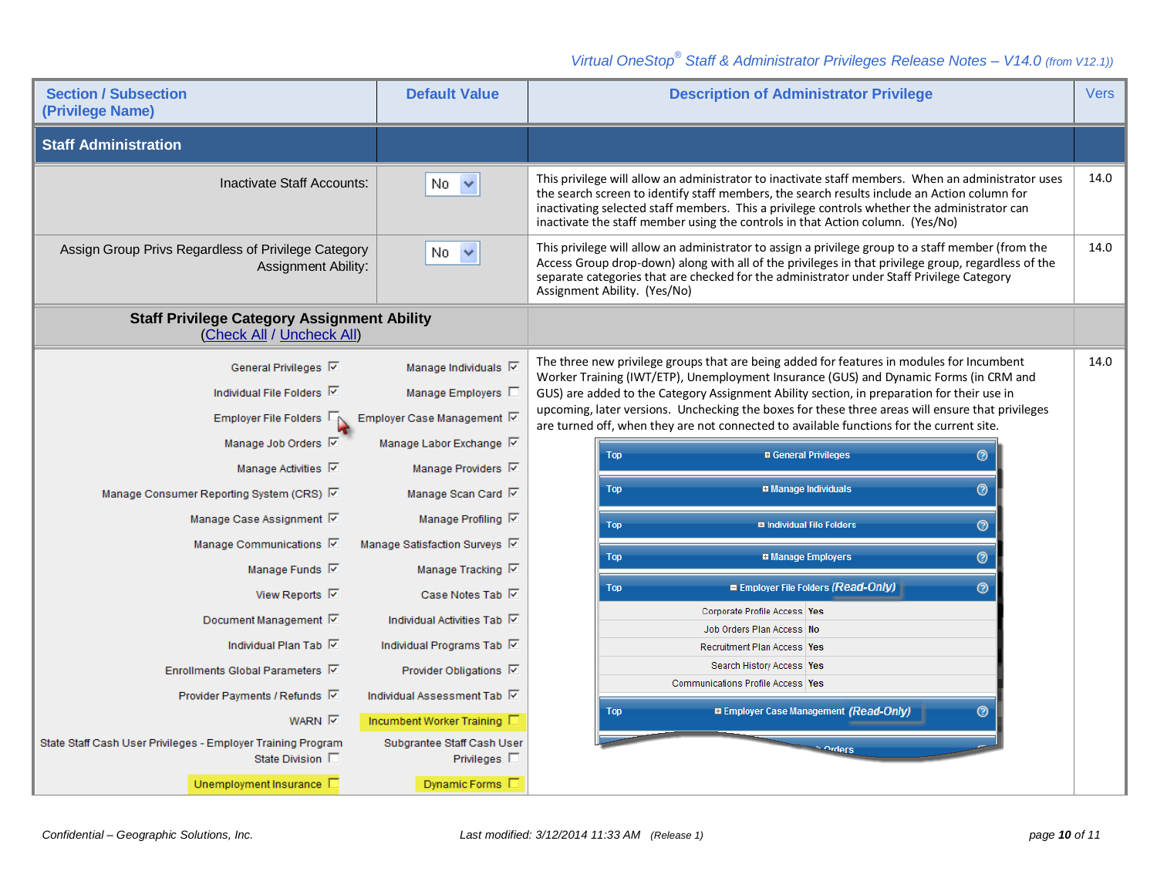| <b>Section / Subsection</b><br>(Privilege Name)                                   | <b>Default Value</b>          | <b>Description of Administrator Privilege</b>                                                                                                                                                                                                                                                                                                                                        | <b>Vers</b> |
|-----------------------------------------------------------------------------------|-------------------------------|--------------------------------------------------------------------------------------------------------------------------------------------------------------------------------------------------------------------------------------------------------------------------------------------------------------------------------------------------------------------------------------|-------------|
| <b>Staff Administration</b>                                                       |                               |                                                                                                                                                                                                                                                                                                                                                                                      |             |
| Inactivate Staff Accounts:                                                        | v<br>No.                      | This privilege will allow an administrator to inactivate staff members. When an administrator uses<br>the search screen to identify staff members, the search results include an Action column for<br>inactivating selected staff members. This a privilege controls whether the administrator can<br>inactivate the staff member using the controls in that Action column. (Yes/No) | 14.0        |
| Assign Group Privs Regardless of Privilege Category<br><b>Assignment Ability:</b> | No.<br>$\checkmark$           | This privilege will allow an administrator to assign a privilege group to a staff member (from the<br>Access Group drop-down) along with all of the privileges in that privilege group, regardless of the<br>separate categories that are checked for the administrator under Staff Privilege Category<br>Assignment Ability. (Yes/No)                                               | 14.0        |
| <b>Staff Privilege Category Assignment Ability</b><br>(Check All / Uncheck All)   |                               |                                                                                                                                                                                                                                                                                                                                                                                      |             |
| General Privileges 区                                                              | Manage Individuals V          | The three new privilege groups that are being added for features in modules for Incumbent                                                                                                                                                                                                                                                                                            | 14.0        |
| Individual File Folders <b>▽</b>                                                  | Manage Employers I            | Worker Training (IWT/ETP), Unemployment Insurance (GUS) and Dynamic Forms (in CRM and<br>GUS) are added to the Category Assignment Ability section, in preparation for their use in                                                                                                                                                                                                  |             |
| Employer File Folders                                                             | Employer Case Management Ø    | upcoming, later versions. Unchecking the boxes for these three areas will ensure that privileges<br>are turned off, when they are not connected to available functions for the current site.                                                                                                                                                                                         |             |
| Manage Job Orders Ø                                                               | Manage Labor Exchange 区       | <b>a</b> General Privileges<br><b>Top</b><br>⊚                                                                                                                                                                                                                                                                                                                                       |             |
| Manage Activities <b>V</b>                                                        | Manage Providers V            |                                                                                                                                                                                                                                                                                                                                                                                      |             |
| Manage Consumer Reporting System (CRS) [Z]                                        | Manage Scan Card              | $\circledcirc$<br><b>m</b> Manage Individuals<br><b>Top</b>                                                                                                                                                                                                                                                                                                                          |             |
| Manage Case Assignment V                                                          | Manage Profiling V            | <b>¤ Individual File Folders</b><br>$\circledcirc$<br><b>Top</b>                                                                                                                                                                                                                                                                                                                     |             |
| Manage Communications Ø                                                           | Manage Satisfaction Surveys V |                                                                                                                                                                                                                                                                                                                                                                                      |             |
| Manage Funds <b>▽</b>                                                             | Manage Tracking V             | $\circledcirc$<br><b>¤ Manage Employers</b><br><b>Top</b>                                                                                                                                                                                                                                                                                                                            |             |
| View Reports √                                                                    | Case Notes Tab <b>▽</b>       | $\odot$<br>■ Employer File Folders (Read-Only)<br><b>Top</b>                                                                                                                                                                                                                                                                                                                         |             |
| Document Management <b>▽</b>                                                      | Individual Activities Tab     | Corporate Profile Access Yes                                                                                                                                                                                                                                                                                                                                                         |             |
| Individual Plan Tab                                                               | Individual Programs Tab       | Job Orders Plan Access No<br>Recruitment Plan Access Yes                                                                                                                                                                                                                                                                                                                             |             |
| Enrollments Global Parameters 区                                                   | Provider Obligations <b>V</b> | Search History Access Yes                                                                                                                                                                                                                                                                                                                                                            |             |
| Provider Payments / Refunds Ø                                                     | Individual Assessment Tab     | Communications Profile Access Yes                                                                                                                                                                                                                                                                                                                                                    |             |
| <b>WARN</b>                                                                       | Incumbent Worker Training     | <b>B Employer Case Management (Read-Only)</b><br>$\odot$<br><b>Top</b>                                                                                                                                                                                                                                                                                                               |             |
| State Staff Cash User Privileges - Employer Training Program                      | Subgrantee Staff Cash User    |                                                                                                                                                                                                                                                                                                                                                                                      |             |
| State Division $\square$                                                          | Privileges $\square$          | Arders <sup>-</sup>                                                                                                                                                                                                                                                                                                                                                                  |             |
| Unemployment Insurance D                                                          | Dynamic Forms $\Box$          |                                                                                                                                                                                                                                                                                                                                                                                      |             |